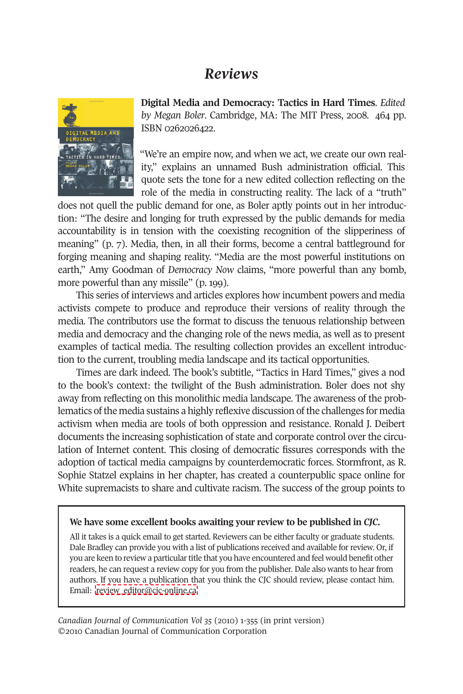## *Reviews*



**Digital Media and Democracy: Tactics in Hard Times**. *Edited by Megan Boler*. Cambridge, MA: The MIT Press, 2008. 464 pp. ISBN 0262026422.

"We're an empire now, and when we act, we create our own reality," explains an unnamed Bush administration official. This quote sets the tone for a new edited collection reflecting on the role of the media in constructing reality. The lack of a "truth"

does not quell the public demand for one, as Boler aptly points out in her introduction: "The desire and longing for truth expressed by the public demands for media accountability is in tension with the coexisting recognition of the slipperiness of meaning" (p. 7). Media, then, in all their forms, become a central battleground for forging meaning and shaping reality. "Media are the most powerful institutions on earth," Amy Goodman of *Democracy Now* claims, "more powerful than any bomb, more powerful than any missile" (p. 199).

This series of interviews and articles explores how incumbent powers and media activists compete to produce and reproduce their versions of reality through the media. The contributors use the format to discuss the tenuous relationship between media and democracy and the changing role of the news media, as well as to present examples of tactical media. The resulting collection provides an excellent introduction to the current, troubling media landscape and its tactical opportunities.

Times are dark indeed. The book's subtitle, "Tactics in Hard Times," gives a nod to the book's context: the twilight of the Bush administration. Boler does not shy away from reflecting on this monolithic media landscape. The awareness of the problematics of the media sustains a highly reflexive discussion of the challenges for media activism when media are tools of both oppression and resistance. Ronald J. Deibert documents the increasing sophistication of state and corporate control over the circulation of Internet content. This closing of democratic fissures corresponds with the adoption of tactical media campaigns by counterdemocratic forces. Stormfront, as R. Sophie Statzel explains in her chapter, has created a counterpublic space online for White supremacists to share and cultivate racism. The success of the group points to

## **We have some excellent books awaiting your review to be published in** *CJC.*

All it takes is a quick email to get started. Reviewers can be either faculty or graduate students. Dale Bradley can provide you with a list of publications received and available for review. Or, if you are keen to review a particular title that you have encountered and feel would benefit other readers, he can request a review copy for you from the publisher. Dale also wants to hear from authors. If you have a publication that you think the CJC should review, please contact him. Email: [review\\_editor@cjc-online.ca.](mailto:review_editor@cjc-online.ca)

*Canadian Journal of Communication Vol 35* (2010) 1-355 (in print version) ©2010 Canadian Journal of Communication Corporation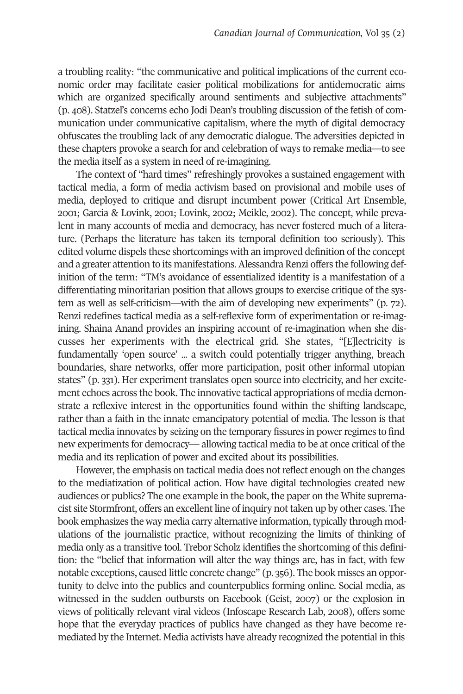a troubling reality: "the communicative and political implications of the current economic order may facilitate easier political mobilizations for antidemocratic aims which are organized specifically around sentiments and subjective attachments" (p. 408). Statzel's concerns echo Jodi Dean's troubling discussion of the fetish of communication under communicative capitalism, where the myth of digital democracy obfuscates the troubling lack of any democratic dialogue. The adversities depicted in these chapters provoke a search for and celebration of ways to remake media—to see the media itself as a system in need of re-imagining.

The context of "hard times" refreshingly provokes a sustained engagement with tactical media, a form of media activism based on provisional and mobile uses of media, deployed to critique and disrupt incumbent power (Critical Art Ensemble, 2001; Garcia & Lovink, 2001; Lovink, 2002; Meikle, 2002). The concept, while prevalent in many accounts of media and democracy, has never fostered much of a literature. (Perhaps the literature has taken its temporal definition too seriously). This edited volume dispels these shortcomings with an improved definition of the concept and a greater attention to its manifestations. Alessandra Renzi offers the following definition of the term: "TM's avoidance of essentialized identity is a manifestation of a differentiating minoritarian position that allows groups to exercise critique of the system as well as self-criticism—with the aim of developing new experiments" (p. 72). Renzi redefines tactical media as a self-reflexive form of experimentation or re-imagining. Shaina Anand provides an inspiring account of re-imagination when she discusses her experiments with the electrical grid. She states, "[E]lectricity is fundamentally 'open source' ... a switch could potentially trigger anything, breach boundaries, share networks, offer more participation, posit other informal utopian states" (p. 331). Her experiment translates open source into electricity, and her excitement echoes across the book. The innovative tactical appropriations of media demonstrate a reflexive interest in the opportunities found within the shifting landscape, rather than a faith in the innate emancipatory potential of media. The lesson is that tactical media innovates by seizing on the temporary fissures in power regimes to find new experiments for democracy— allowing tactical media to be at once critical of the media and its replication of power and excited about its possibilities.

However, the emphasis on tactical media does not reflect enough on the changes to the mediatization of political action. How have digital technologies created new audiences or publics? The one example in the book, the paper on the White supremacist site Stormfront, offers an excellent line of inquiry not taken up by other cases. The book emphasizes the way media carry alternative information, typically through modulations of the journalistic practice, without recognizing the limits of thinking of media only as a transitive tool. Trebor Scholz identifies the shortcoming of this definition: the "belief that information will alter the way things are, has in fact, with few notable exceptions, caused little concrete change" (p. 356). The book misses an opportunity to delve into the publics and counterpublics forming online. Social media, as witnessed in the sudden outbursts on Facebook (Geist, 2007) or the explosion in views of politically relevant viral videos (Infoscape Research Lab, 2008), offers some hope that the everyday practices of publics have changed as they have become remediated by the Internet. Media activists have already recognized the potential in this